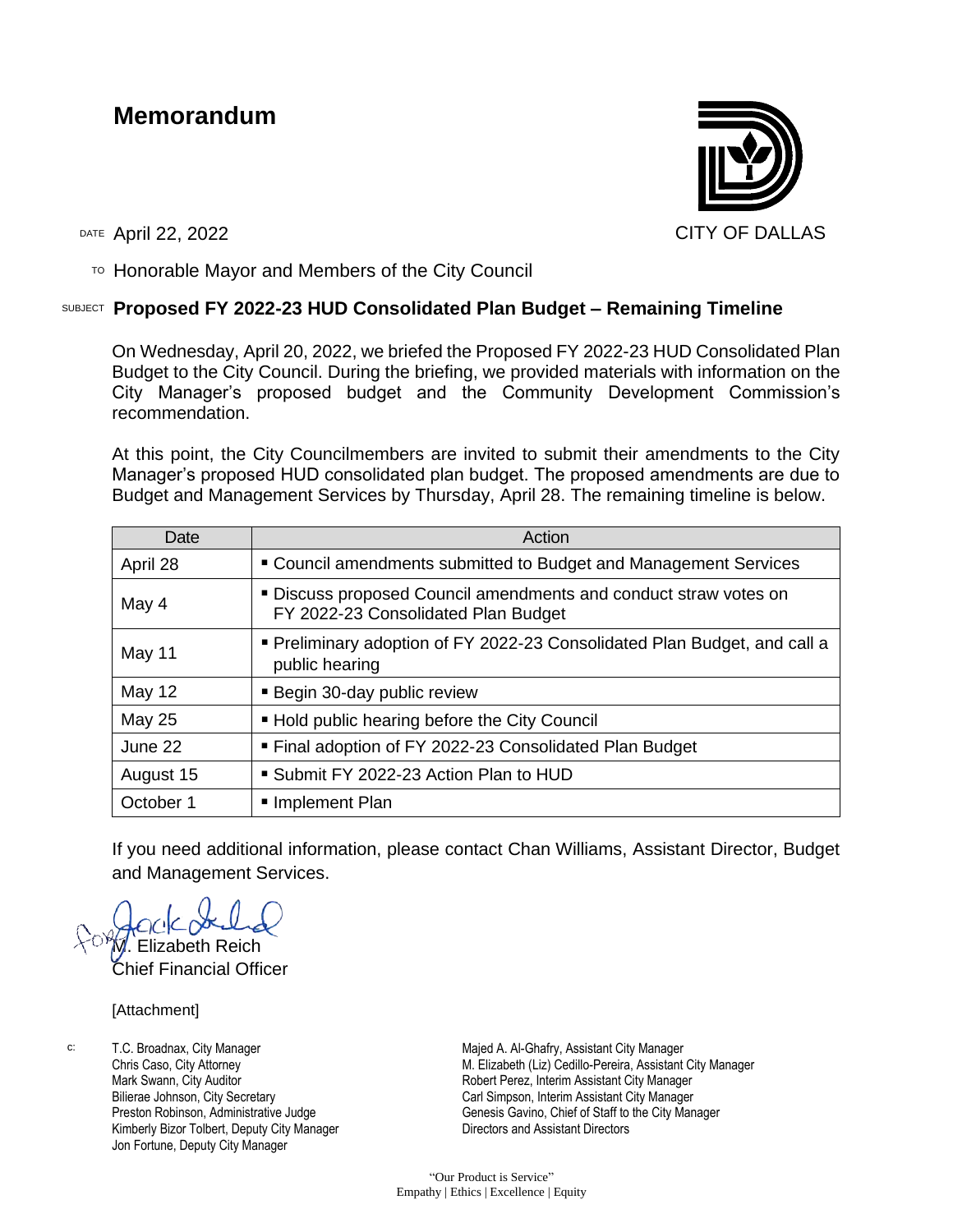# **Memorandum**



 $T$ <sup>O</sup> Honorable Mayor and Members of the City Council

#### SUBJECT **Proposed FY 2022-23 HUD Consolidated Plan Budget – Remaining Timeline**

On Wednesday, April 20, 2022, we briefed the Proposed FY 2022-23 HUD Consolidated Plan Budget to the City Council. During the briefing, we provided materials with information on the City Manager's proposed budget and the Community Development Commission's recommendation.

At this point, the City Councilmembers are invited to submit their amendments to the City Manager's proposed HUD consolidated plan budget. The proposed amendments are due to Budget and Management Services by Thursday, April 28. The remaining timeline is below.

| Date          | Action                                                                                                  |
|---------------|---------------------------------------------------------------------------------------------------------|
| April 28      | " Council amendments submitted to Budget and Management Services                                        |
| May 4         | " Discuss proposed Council amendments and conduct straw votes on<br>FY 2022-23 Consolidated Plan Budget |
| May 11        | Preliminary adoption of FY 2022-23 Consolidated Plan Budget, and call a<br>public hearing               |
| <b>May 12</b> | <b>Begin 30-day public review</b>                                                                       |
| <b>May 25</b> | ■ Hold public hearing before the City Council                                                           |
| June 22       | ■ Final adoption of FY 2022-23 Consolidated Plan Budget                                                 |
| August 15     | ■ Submit FY 2022-23 Action Plan to HUD                                                                  |
| October 1     | Implement Plan                                                                                          |

If you need additional information, please contact Chan Williams, Assistant Director, Budget and Management Services.

Elizabeth Reich

Chief Financial Officer

[Attachment]

c: T.C. Broadnax, City Manager Chris Caso, City Attorney Mark Swann, City Auditor Bilierae Johnson, City Secretary Preston Robinson, Administrative Judge Kimberly Bizor Tolbert, Deputy City Manager Jon Fortune, Deputy City Manager

Majed A. Al-Ghafry, Assistant City Manager M. Elizabeth (Liz) Cedillo-Pereira, Assistant City Manager Robert Perez, Interim Assistant City Manager Carl Simpson, Interim Assistant City Manager Genesis Gavino, Chief of Staff to the City Manager Directors and Assistant Directors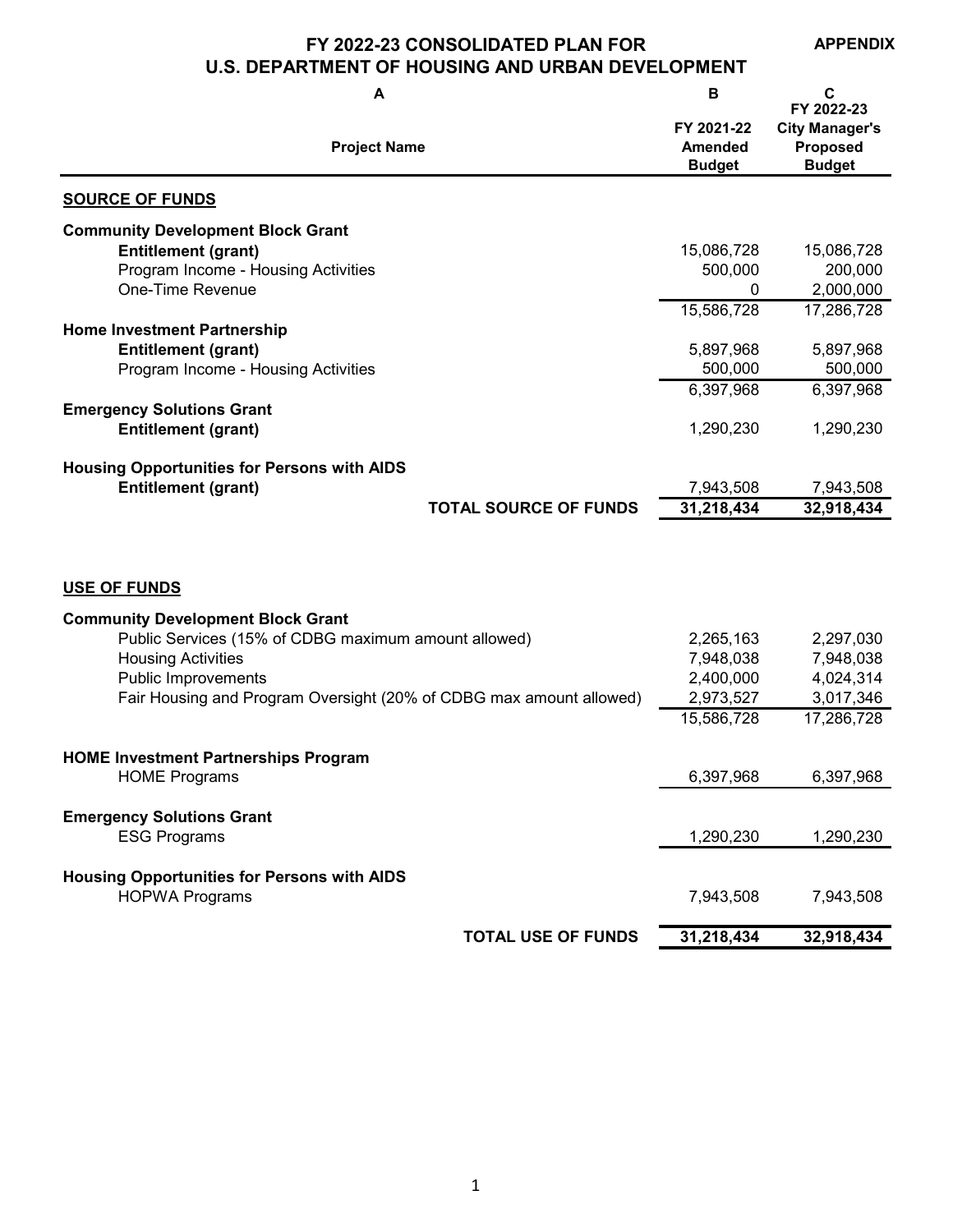#### **FY 2022-23 CONSOLIDATED PLAN FOR U.S. DEPARTMENT OF HOUSING AND URBAN DEVELOPMENT**

**APPENDIX**

**A B C Project Name Budget Budget SOURCE OF FUNDS Entitlement (grant)** 15,086,728 15,086,728 Program Income - Housing Activities **1990 1200,000** 200,000 200,000 One-Time Revenue 2,000,000 15,586,728 17,286,728 **Entitlement (grant)** 5,897,968 5,897,968 Program Income - Housing Activities 600,000 500,000 500,000 500,000 500,000 500,000 500,000 500,000 Forms of the structure of the structure of the structure of the structure of the structure of the structure of the structu 6,397,968 6,397,968 **Entitlement (grant)** 1,290,230 1,290,230 **Entitlement (grant)** 7,943,508 7,943,508 **TOTAL SOURCE OF FUNDS 31,218,434 32,918,434 USE OF FUNDS** Public Services (15% of CDBG maximum amount allowed) 2,265,163 2,297,030 Housing Activities 7,948,038 7,948,038 Public Improvements 2,400,000 4,024,314 Fair Housing and Program Oversight (20% of CDBG max amount allowed) 2,973,527 3,017,346 15,586,728 17,286,728 HOME Programs 6,397,968 6,397,968 6,397,968 ESG Programs 1,290,230 1,290,230 HOPWA Programs 7,943,508 7,943,508 **TOTAL USE OF FUNDS 31,218,434 32,918,434 Housing Opportunities for Persons with AIDS Community Development Block Grant HOME Investment Partnerships Program Emergency Solutions Grant Housing Opportunities for Persons with AIDS FY 2021-22 Amended FY 2022-23 City Manager's Proposed Community Development Block Grant Home Investment Partnership Emergency Solutions Grant**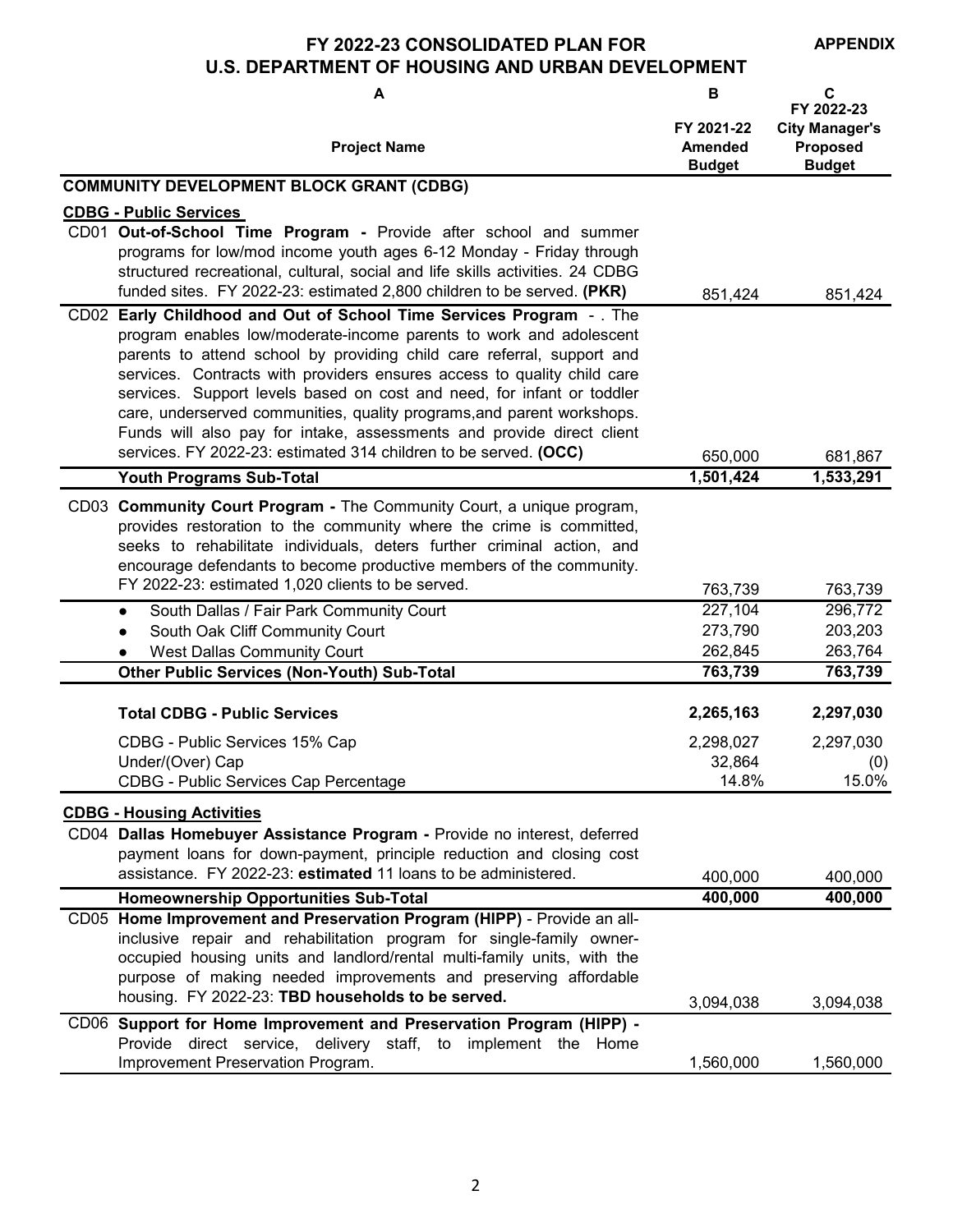**FY 2022-23 CONSOLIDATED PLAN FOR** 

**APPENDIX**

# **U.S. DEPARTMENT OF HOUSING AND URBAN DEVELOPMENT**

| A                                                                                                                                                                                                                                                                                                                                                                                                                                                                                                                                                                                                | B                                             | C<br>FY 2022-23                                    |
|--------------------------------------------------------------------------------------------------------------------------------------------------------------------------------------------------------------------------------------------------------------------------------------------------------------------------------------------------------------------------------------------------------------------------------------------------------------------------------------------------------------------------------------------------------------------------------------------------|-----------------------------------------------|----------------------------------------------------|
| <b>Project Name</b>                                                                                                                                                                                                                                                                                                                                                                                                                                                                                                                                                                              | FY 2021-22<br><b>Amended</b><br><b>Budget</b> | <b>City Manager's</b><br>Proposed<br><b>Budget</b> |
| <b>COMMUNITY DEVELOPMENT BLOCK GRANT (CDBG)</b>                                                                                                                                                                                                                                                                                                                                                                                                                                                                                                                                                  |                                               |                                                    |
| <b>CDBG - Public Services</b>                                                                                                                                                                                                                                                                                                                                                                                                                                                                                                                                                                    |                                               |                                                    |
| CD01 Out-of-School Time Program - Provide after school and summer<br>programs for low/mod income youth ages 6-12 Monday - Friday through<br>structured recreational, cultural, social and life skills activities. 24 CDBG<br>funded sites. FY 2022-23: estimated 2,800 children to be served. (PKR)                                                                                                                                                                                                                                                                                              | 851,424                                       | 851,424                                            |
| CD02 Early Childhood and Out of School Time Services Program - . The<br>program enables low/moderate-income parents to work and adolescent<br>parents to attend school by providing child care referral, support and<br>services. Contracts with providers ensures access to quality child care<br>services. Support levels based on cost and need, for infant or toddler<br>care, underserved communities, quality programs, and parent workshops.<br>Funds will also pay for intake, assessments and provide direct client<br>services. FY 2022-23: estimated 314 children to be served. (OCC) | 650,000                                       | 681,867                                            |
| <b>Youth Programs Sub-Total</b>                                                                                                                                                                                                                                                                                                                                                                                                                                                                                                                                                                  | 1,501,424                                     | 1,533,291                                          |
| CD03 Community Court Program - The Community Court, a unique program,<br>provides restoration to the community where the crime is committed,<br>seeks to rehabilitate individuals, deters further criminal action, and<br>encourage defendants to become productive members of the community.                                                                                                                                                                                                                                                                                                    |                                               |                                                    |
| FY 2022-23: estimated 1,020 clients to be served.                                                                                                                                                                                                                                                                                                                                                                                                                                                                                                                                                | 763,739                                       | 763,739                                            |
| South Dallas / Fair Park Community Court<br>$\bullet$                                                                                                                                                                                                                                                                                                                                                                                                                                                                                                                                            | 227,104                                       | 296,772                                            |
| South Oak Cliff Community Court                                                                                                                                                                                                                                                                                                                                                                                                                                                                                                                                                                  | 273,790                                       | 203,203                                            |
| <b>West Dallas Community Court</b><br><b>Other Public Services (Non-Youth) Sub-Total</b>                                                                                                                                                                                                                                                                                                                                                                                                                                                                                                         | 262,845<br>763,739                            | 263,764<br>763,739                                 |
|                                                                                                                                                                                                                                                                                                                                                                                                                                                                                                                                                                                                  |                                               |                                                    |
| <b>Total CDBG - Public Services</b>                                                                                                                                                                                                                                                                                                                                                                                                                                                                                                                                                              | 2,265,163                                     | 2,297,030                                          |
| CDBG - Public Services 15% Cap                                                                                                                                                                                                                                                                                                                                                                                                                                                                                                                                                                   | 2,298,027                                     | 2,297,030                                          |
| Under/(Over) Cap                                                                                                                                                                                                                                                                                                                                                                                                                                                                                                                                                                                 | 32,864                                        | (0)                                                |
| CDBG - Public Services Cap Percentage                                                                                                                                                                                                                                                                                                                                                                                                                                                                                                                                                            | 14.8%                                         | 15.0%                                              |
| <b>CDBG - Housing Activities</b>                                                                                                                                                                                                                                                                                                                                                                                                                                                                                                                                                                 |                                               |                                                    |
| CD04 Dallas Homebuyer Assistance Program - Provide no interest, deferred<br>payment loans for down-payment, principle reduction and closing cost<br>assistance. FY 2022-23: estimated 11 loans to be administered.                                                                                                                                                                                                                                                                                                                                                                               |                                               |                                                    |
|                                                                                                                                                                                                                                                                                                                                                                                                                                                                                                                                                                                                  | 400,000                                       | 400,000                                            |
| <b>Homeownership Opportunities Sub-Total</b><br>CD05 Home Improvement and Preservation Program (HIPP) - Provide an all-                                                                                                                                                                                                                                                                                                                                                                                                                                                                          | 400,000                                       | 400,000                                            |
| inclusive repair and rehabilitation program for single-family owner-<br>occupied housing units and landlord/rental multi-family units, with the<br>purpose of making needed improvements and preserving affordable<br>housing. FY 2022-23: TBD households to be served.                                                                                                                                                                                                                                                                                                                          | 3,094,038                                     | 3,094,038                                          |
| CD06 Support for Home Improvement and Preservation Program (HIPP) -                                                                                                                                                                                                                                                                                                                                                                                                                                                                                                                              |                                               |                                                    |
| Provide direct service, delivery staff, to<br>implement the Home<br>Improvement Preservation Program.                                                                                                                                                                                                                                                                                                                                                                                                                                                                                            | 1,560,000                                     | 1,560,000                                          |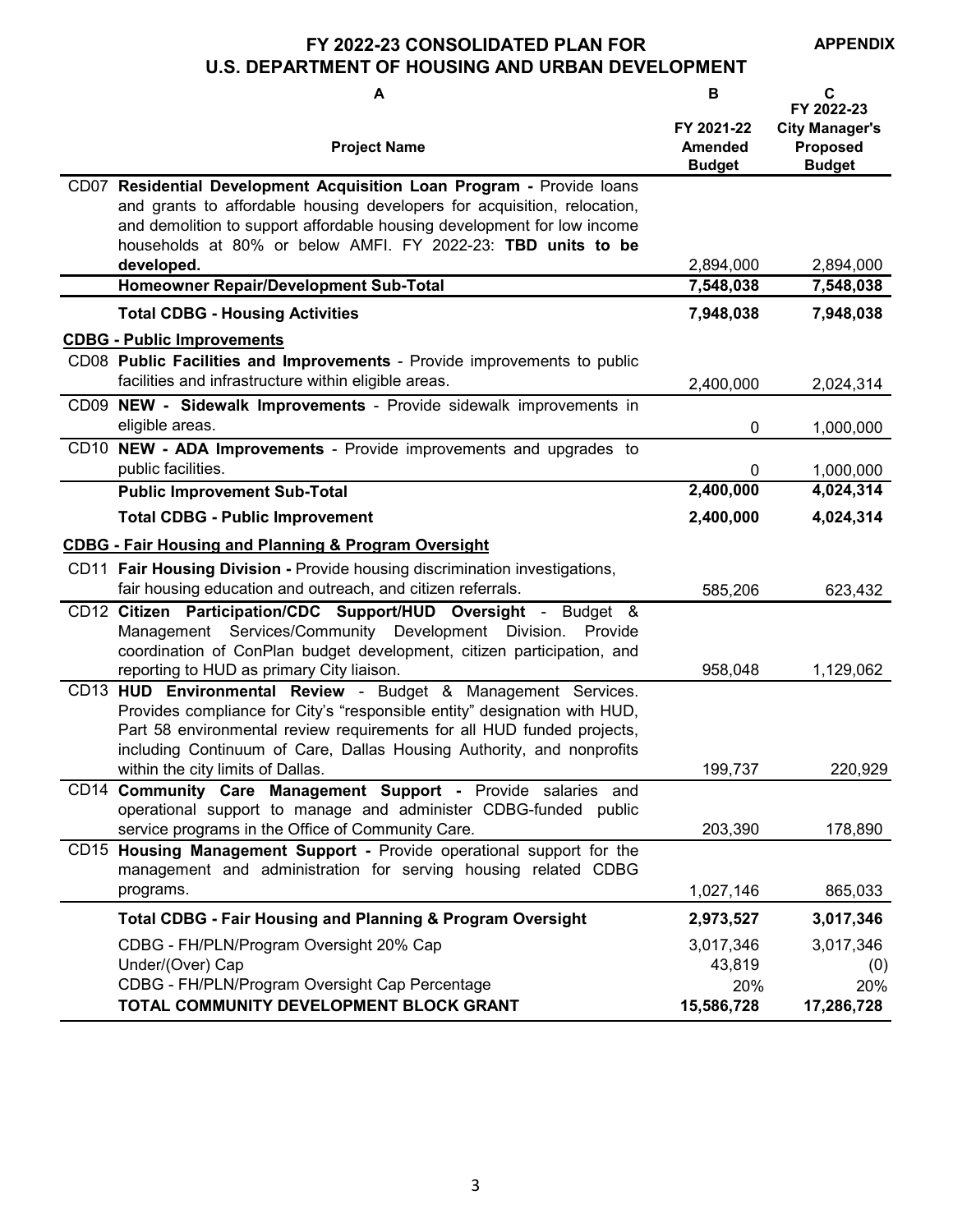**FY 2022-23 CONSOLIDATED PLAN FOR** 

**APPENDIX**

## **U.S. DEPARTMENT OF HOUSING AND URBAN DEVELOPMENT**

| A                                                                                                                                                                                                                                                                                             | B                                             | C<br>FY 2022-23                                           |
|-----------------------------------------------------------------------------------------------------------------------------------------------------------------------------------------------------------------------------------------------------------------------------------------------|-----------------------------------------------|-----------------------------------------------------------|
| <b>Project Name</b>                                                                                                                                                                                                                                                                           | FY 2021-22<br><b>Amended</b><br><b>Budget</b> | <b>City Manager's</b><br><b>Proposed</b><br><b>Budget</b> |
| CD07 Residential Development Acquisition Loan Program - Provide loans<br>and grants to affordable housing developers for acquisition, relocation,<br>and demolition to support affordable housing development for low income<br>households at 80% or below AMFI. FY 2022-23: TBD units to be  |                                               |                                                           |
| developed.                                                                                                                                                                                                                                                                                    | 2,894,000                                     | 2,894,000                                                 |
| Homeowner Repair/Development Sub-Total                                                                                                                                                                                                                                                        | 7,548,038                                     | 7,548,038                                                 |
| <b>Total CDBG - Housing Activities</b>                                                                                                                                                                                                                                                        | 7,948,038                                     | 7,948,038                                                 |
| <b>CDBG - Public Improvements</b><br>CD08 Public Facilities and Improvements - Provide improvements to public<br>facilities and infrastructure within eligible areas.                                                                                                                         | 2,400,000                                     |                                                           |
| CD09 NEW - Sidewalk Improvements - Provide sidewalk improvements in                                                                                                                                                                                                                           |                                               | 2,024,314                                                 |
| eligible areas.                                                                                                                                                                                                                                                                               | 0                                             | 1,000,000                                                 |
| CD10 NEW - ADA Improvements - Provide improvements and upgrades to<br>public facilities.                                                                                                                                                                                                      | 0                                             | 1,000,000                                                 |
| <b>Public Improvement Sub-Total</b>                                                                                                                                                                                                                                                           | 2,400,000                                     | 4,024,314                                                 |
| <b>Total CDBG - Public Improvement</b>                                                                                                                                                                                                                                                        | 2,400,000                                     | 4,024,314                                                 |
| <b>CDBG - Fair Housing and Planning &amp; Program Oversight</b>                                                                                                                                                                                                                               |                                               |                                                           |
| CD11 Fair Housing Division - Provide housing discrimination investigations,<br>fair housing education and outreach, and citizen referrals.                                                                                                                                                    | 585,206                                       | 623,432                                                   |
| CD12 Citizen Participation/CDC Support/HUD Oversight - Budget &<br>Management Services/Community Development Division. Provide<br>coordination of ConPlan budget development, citizen participation, and<br>reporting to HUD as primary City liaison.                                         | 958,048                                       | 1,129,062                                                 |
| CD13 HUD Environmental Review - Budget & Management Services.<br>Provides compliance for City's "responsible entity" designation with HUD,<br>Part 58 environmental review requirements for all HUD funded projects,<br>including Continuum of Care, Dallas Housing Authority, and nonprofits |                                               |                                                           |
| within the city limits of Dallas.<br>CD14 Community Care Management Support - Provide salaries and                                                                                                                                                                                            | 199,737                                       | 220,929                                                   |
| operational support to manage and administer CDBG-funded public<br>service programs in the Office of Community Care.                                                                                                                                                                          | 203,390                                       | 178,890                                                   |
| CD15 Housing Management Support - Provide operational support for the<br>management and administration for serving housing related CDBG                                                                                                                                                       |                                               |                                                           |
| programs.                                                                                                                                                                                                                                                                                     | 1,027,146                                     | 865,033                                                   |
| <b>Total CDBG - Fair Housing and Planning &amp; Program Oversight</b>                                                                                                                                                                                                                         | 2,973,527                                     | 3,017,346                                                 |
| CDBG - FH/PLN/Program Oversight 20% Cap<br>Under/(Over) Cap                                                                                                                                                                                                                                   | 3,017,346<br>43,819                           | 3,017,346<br>(0)                                          |
| CDBG - FH/PLN/Program Oversight Cap Percentage                                                                                                                                                                                                                                                | 20%                                           | 20%                                                       |
| TOTAL COMMUNITY DEVELOPMENT BLOCK GRANT                                                                                                                                                                                                                                                       | 15,586,728                                    | 17,286,728                                                |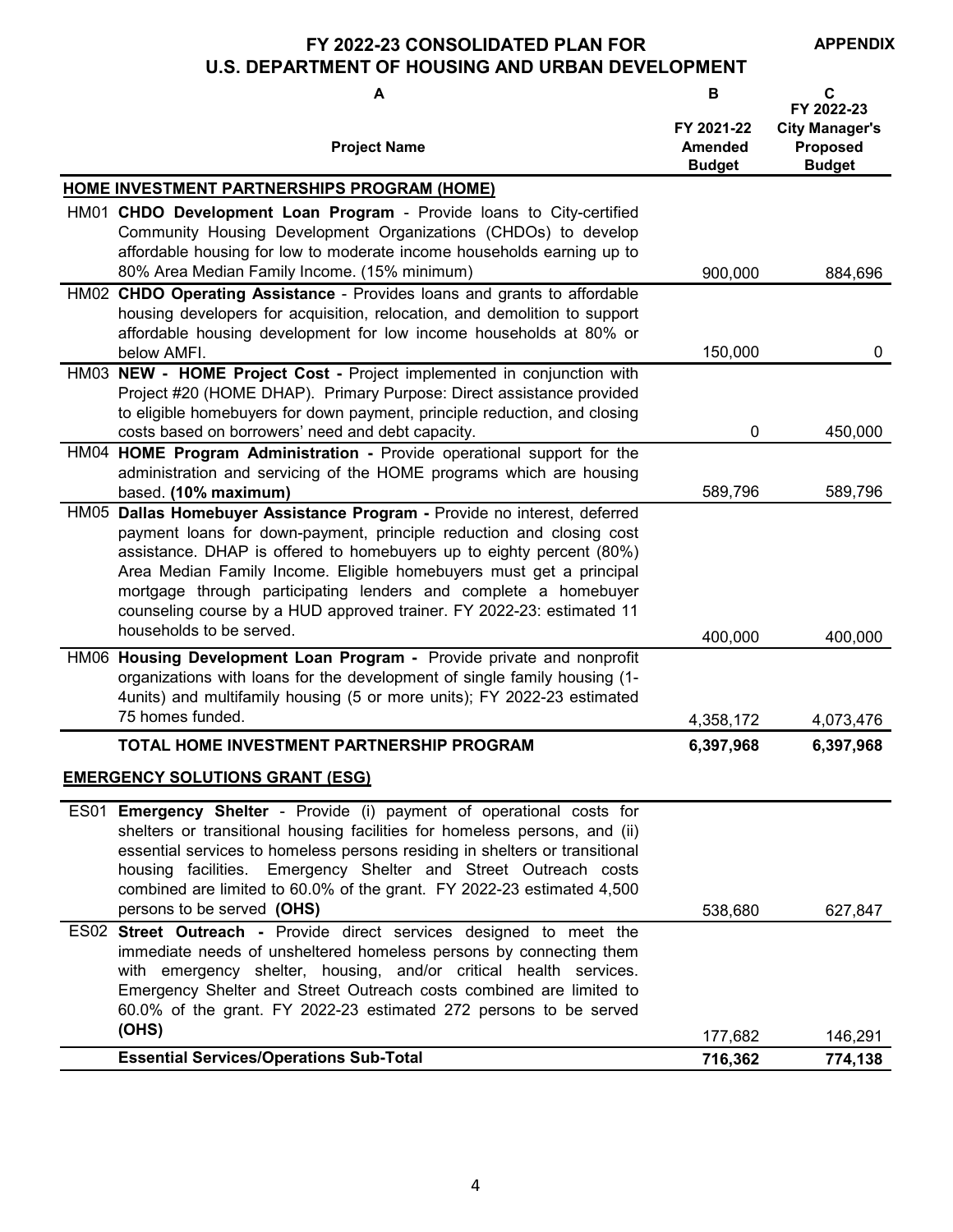**APPENDIX**

### **FY 2022-23 CONSOLIDATED PLAN FOR U.S. DEPARTMENT OF HOUSING AND URBAN DEVELOPMENT**

| A                                                                                                                                                                                                                                                                                                                                                                                                                                           | B                                      | C<br>FY 2022-23                                    |
|---------------------------------------------------------------------------------------------------------------------------------------------------------------------------------------------------------------------------------------------------------------------------------------------------------------------------------------------------------------------------------------------------------------------------------------------|----------------------------------------|----------------------------------------------------|
| <b>Project Name</b>                                                                                                                                                                                                                                                                                                                                                                                                                         | FY 2021-22<br>Amended<br><b>Budget</b> | <b>City Manager's</b><br>Proposed<br><b>Budget</b> |
| <b>HOME INVESTMENT PARTNERSHIPS PROGRAM (HOME)</b>                                                                                                                                                                                                                                                                                                                                                                                          |                                        |                                                    |
| HM01 CHDO Development Loan Program - Provide loans to City-certified<br>Community Housing Development Organizations (CHDOs) to develop<br>affordable housing for low to moderate income households earning up to<br>80% Area Median Family Income. (15% minimum)                                                                                                                                                                            | 900,000                                | 884,696                                            |
| HM02 CHDO Operating Assistance - Provides loans and grants to affordable                                                                                                                                                                                                                                                                                                                                                                    |                                        |                                                    |
| housing developers for acquisition, relocation, and demolition to support<br>affordable housing development for low income households at 80% or                                                                                                                                                                                                                                                                                             |                                        |                                                    |
| below AMFI.<br>HM03 NEW - HOME Project Cost - Project implemented in conjunction with                                                                                                                                                                                                                                                                                                                                                       | 150,000                                | 0                                                  |
| Project #20 (HOME DHAP). Primary Purpose: Direct assistance provided<br>to eligible homebuyers for down payment, principle reduction, and closing<br>costs based on borrowers' need and debt capacity.                                                                                                                                                                                                                                      | 0                                      | 450,000                                            |
| HM04 HOME Program Administration - Provide operational support for the                                                                                                                                                                                                                                                                                                                                                                      |                                        |                                                    |
| administration and servicing of the HOME programs which are housing<br>based. (10% maximum)                                                                                                                                                                                                                                                                                                                                                 | 589,796                                | 589,796                                            |
| HM05 Dallas Homebuyer Assistance Program - Provide no interest, deferred<br>payment loans for down-payment, principle reduction and closing cost<br>assistance. DHAP is offered to homebuyers up to eighty percent (80%)<br>Area Median Family Income. Eligible homebuyers must get a principal<br>mortgage through participating lenders and complete a homebuyer<br>counseling course by a HUD approved trainer. FY 2022-23: estimated 11 |                                        |                                                    |
| households to be served.                                                                                                                                                                                                                                                                                                                                                                                                                    | 400,000                                | 400,000                                            |
| HM06 Housing Development Loan Program - Provide private and nonprofit<br>organizations with loans for the development of single family housing (1-<br>4units) and multifamily housing (5 or more units); FY 2022-23 estimated<br>75 homes funded.                                                                                                                                                                                           | 4,358,172                              | 4,073,476                                          |
| TOTAL HOME INVESTMENT PARTNERSHIP PROGRAM                                                                                                                                                                                                                                                                                                                                                                                                   | 6,397,968                              | 6,397,968                                          |
| <b>EMERGENCY SOLUTIONS GRANT (ESG)</b>                                                                                                                                                                                                                                                                                                                                                                                                      |                                        |                                                    |
| ES01 Emergency Shelter - Provide (i) payment of operational costs for<br>shelters or transitional housing facilities for homeless persons, and (ii)<br>essential services to homeless persons residing in shelters or transitional<br>housing facilities. Emergency Shelter and Street Outreach costs<br>combined are limited to 60.0% of the grant. FY 2022-23 estimated 4,500<br>persons to be served (OHS)                               | 538,680                                | 627,847                                            |
| ES02 Street Outreach - Provide direct services designed to meet the<br>immediate needs of unsheltered homeless persons by connecting them<br>with emergency shelter, housing, and/or critical health services.<br>Emergency Shelter and Street Outreach costs combined are limited to<br>60.0% of the grant. FY 2022-23 estimated 272 persons to be served<br>(OHS)                                                                         |                                        |                                                    |
| <b>Essential Services/Operations Sub-Total</b>                                                                                                                                                                                                                                                                                                                                                                                              | 177,682<br>716,362                     | 146,291<br>774,138                                 |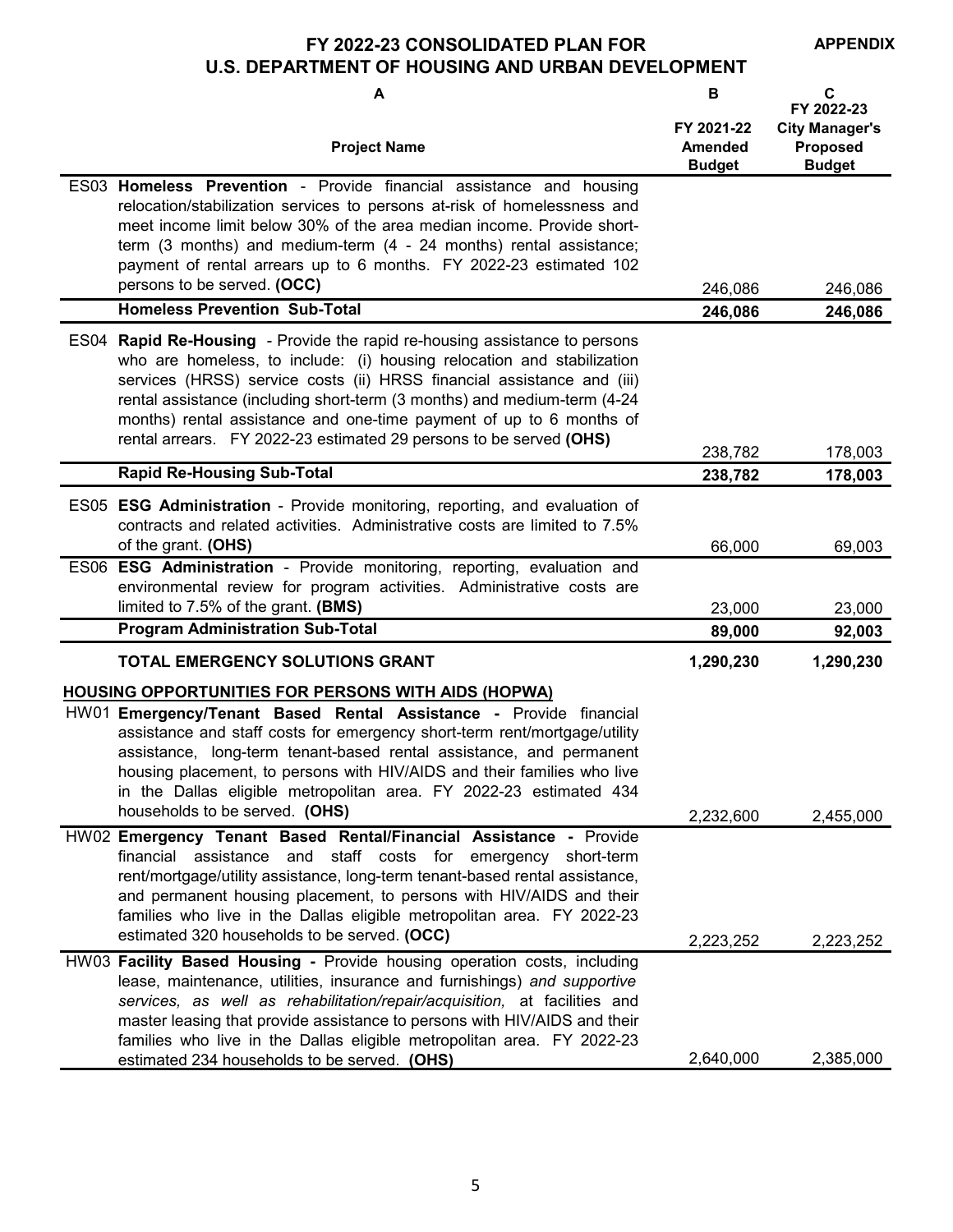**FY 2022-23 CONSOLIDATED PLAN FOR** 

**APPENDIX**

# **U.S. DEPARTMENT OF HOUSING AND URBAN DEVELOPMENT**

| A                                                                                                                                                                                                                                                                                                                                                                                                                                                                      | В                                             | C<br>FY 2022-23                                           |
|------------------------------------------------------------------------------------------------------------------------------------------------------------------------------------------------------------------------------------------------------------------------------------------------------------------------------------------------------------------------------------------------------------------------------------------------------------------------|-----------------------------------------------|-----------------------------------------------------------|
| <b>Project Name</b>                                                                                                                                                                                                                                                                                                                                                                                                                                                    | FY 2021-22<br><b>Amended</b><br><b>Budget</b> | <b>City Manager's</b><br><b>Proposed</b><br><b>Budget</b> |
| ES03 Homeless Prevention - Provide financial assistance and housing<br>relocation/stabilization services to persons at-risk of homelessness and<br>meet income limit below 30% of the area median income. Provide short-<br>term (3 months) and medium-term (4 - 24 months) rental assistance;<br>payment of rental arrears up to 6 months. FY 2022-23 estimated 102<br>persons to be served. (OCC)                                                                    | 246,086                                       | 246,086                                                   |
| <b>Homeless Prevention Sub-Total</b>                                                                                                                                                                                                                                                                                                                                                                                                                                   | 246,086                                       | 246,086                                                   |
| ES04 Rapid Re-Housing - Provide the rapid re-housing assistance to persons<br>who are homeless, to include: (i) housing relocation and stabilization<br>services (HRSS) service costs (ii) HRSS financial assistance and (iii)<br>rental assistance (including short-term (3 months) and medium-term (4-24<br>months) rental assistance and one-time payment of up to 6 months of<br>rental arrears. FY 2022-23 estimated 29 persons to be served (OHS)                | 238,782                                       | 178,003                                                   |
| <b>Rapid Re-Housing Sub-Total</b>                                                                                                                                                                                                                                                                                                                                                                                                                                      | 238,782                                       | 178,003                                                   |
| ES05 ESG Administration - Provide monitoring, reporting, and evaluation of<br>contracts and related activities. Administrative costs are limited to 7.5%<br>of the grant. (OHS)                                                                                                                                                                                                                                                                                        | 66,000                                        | 69,003                                                    |
| ES06 ESG Administration - Provide monitoring, reporting, evaluation and<br>environmental review for program activities. Administrative costs are<br>limited to 7.5% of the grant. (BMS)                                                                                                                                                                                                                                                                                | 23,000                                        | 23,000                                                    |
| <b>Program Administration Sub-Total</b>                                                                                                                                                                                                                                                                                                                                                                                                                                | 89,000                                        | 92,003                                                    |
| TOTAL EMERGENCY SOLUTIONS GRANT                                                                                                                                                                                                                                                                                                                                                                                                                                        | 1,290,230                                     | 1,290,230                                                 |
| <b>HOUSING OPPORTUNITIES FOR PERSONS WITH AIDS (HOPWA)</b><br>HW01 Emergency/Tenant Based Rental Assistance - Provide financial<br>assistance and staff costs for emergency short-term rent/mortgage/utility<br>assistance, long-term tenant-based rental assistance, and permanent<br>housing placement, to persons with HIV/AIDS and their families who live<br>in the Dallas eligible metropolitan area. FY 2022-23 estimated 434<br>households to be served. (OHS) |                                               |                                                           |
|                                                                                                                                                                                                                                                                                                                                                                                                                                                                        | 2,232,600                                     | 2,455,000                                                 |
| HW02 Emergency Tenant Based Rental/Financial Assistance - Provide<br>financial assistance<br>and<br>staff costs for<br>emergency<br>short-term<br>rent/mortgage/utility assistance, long-term tenant-based rental assistance,<br>and permanent housing placement, to persons with HIV/AIDS and their<br>families who live in the Dallas eligible metropolitan area. FY 2022-23<br>estimated 320 households to be served. (OCC)                                         |                                               |                                                           |
|                                                                                                                                                                                                                                                                                                                                                                                                                                                                        | 2,223,252                                     | 2,223,252                                                 |
| HW03 Facility Based Housing - Provide housing operation costs, including<br>lease, maintenance, utilities, insurance and furnishings) and supportive<br>services, as well as rehabilitation/repair/acquisition, at facilities and<br>master leasing that provide assistance to persons with HIV/AIDS and their<br>families who live in the Dallas eligible metropolitan area. FY 2022-23<br>estimated 234 households to be served. (OHS)                               | 2,640,000                                     | 2,385,000                                                 |
|                                                                                                                                                                                                                                                                                                                                                                                                                                                                        |                                               |                                                           |